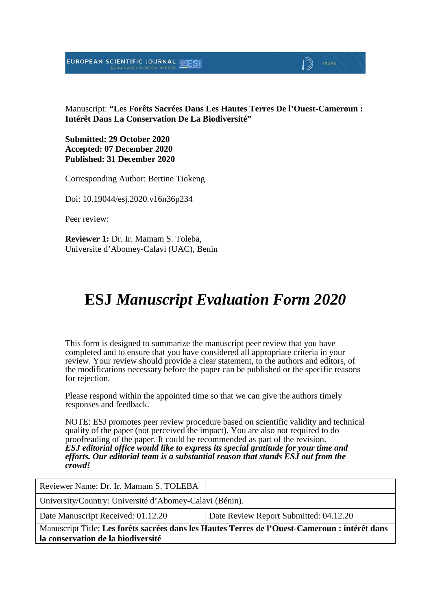EUROPEAN SCIENTIFIC JOURNAL



Manuscript: **"Les Forêts Sacrées Dans Les Hautes Terres De l'Ouest-Cameroun : Intérêt Dans La Conservation De La Biodiversité"**

**Submitted: 29 October 2020 Accepted: 07 December 2020 Published: 31 December 2020**

Corresponding Author: Bertine Tiokeng

Doi: 10.19044/esj.2020.v16n36p234

Peer review:

**Reviewer 1:** Dr. Ir. Mamam S. Toleba, Universite d'Abomey-Calavi (UAC), Benin

## **ESJ** *Manuscript Evaluation Form 2020*

This form is designed to summarize the manuscript peer review that you have completed and to ensure that you have considered all appropriate criteria in your review. Your review should provide a clear statement, to the authors and editors, of the modifications necessary before the paper can be published or the specific reasons for rejection.

Please respond within the appointed time so that we can give the authors timely responses and feedback.

NOTE: ESJ promotes peer review procedure based on scientific validity and technical quality of the paper (not perceived the impact). You are also not required to do proofreading of the paper. It could be recommended as part of the revision. *ESJ editorial office would like to express its special gratitude for your time and efforts. Our editorial team is a substantial reason that stands ESJ out from the crowd!* 

Reviewer Name: Dr. Ir. Mamam S. TOLEBA University/Country: Université d'Abomey-Calavi (Bénin). Date Manuscript Received: 01.12.20 Date Review Report Submitted: 04.12.20 Manuscript Title: **Les forêts sacrées dans les Hautes Terres de l'Ouest-Cameroun : intérêt dans la conservation de la biodiversité**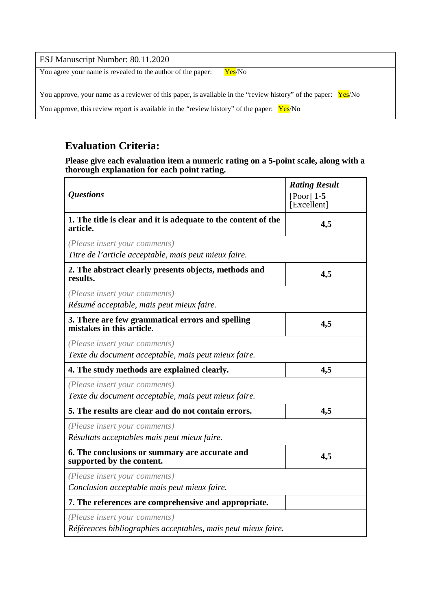| ESJ Manuscript Number: 80.11.2020                                                                             |  |  |
|---------------------------------------------------------------------------------------------------------------|--|--|
| You agree your name is revealed to the author of the paper:<br>Yes/No                                         |  |  |
| You approve, your name as a reviewer of this paper, is available in the "review history" of the paper: Yes/No |  |  |
| You approve, this review report is available in the "review history" of the paper: Yes/No                     |  |  |

## **Evaluation Criteria:**

**Please give each evaluation item a numeric rating on a 5-point scale, along with a thorough explanation for each point rating.**

| <i><b>Questions</b></i>                                                                        | <b>Rating Result</b><br>[Poor] $1-5$<br>[Excellent] |
|------------------------------------------------------------------------------------------------|-----------------------------------------------------|
| 1. The title is clear and it is adequate to the content of the<br>article.                     | 4,5                                                 |
| (Please insert your comments)<br>Titre de l'article acceptable, mais peut mieux faire.         |                                                     |
| 2. The abstract clearly presents objects, methods and<br>results.                              | 4,5                                                 |
| (Please insert your comments)<br>Résumé acceptable, mais peut mieux faire.                     |                                                     |
| 3. There are few grammatical errors and spelling<br>mistakes in this article.                  | 4,5                                                 |
| (Please insert your comments)<br>Texte du document acceptable, mais peut mieux faire.          |                                                     |
| 4. The study methods are explained clearly.                                                    | 4,5                                                 |
| (Please insert your comments)<br>Texte du document acceptable, mais peut mieux faire.          |                                                     |
| 5. The results are clear and do not contain errors.                                            | 4,5                                                 |
| (Please insert your comments)<br>Résultats acceptables mais peut mieux faire.                  |                                                     |
| 6. The conclusions or summary are accurate and<br>supported by the content.                    | 4,5                                                 |
| (Please insert your comments)<br>Conclusion acceptable mais peut mieux faire.                  |                                                     |
| 7. The references are comprehensive and appropriate.                                           |                                                     |
| (Please insert your comments)<br>Références bibliographies acceptables, mais peut mieux faire. |                                                     |